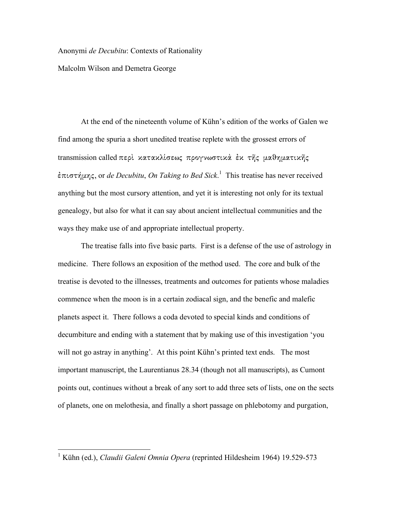Anonymi *de Decubitu*: Contexts of Rationality

Malcolm Wilson and Demetra George

At the end of the nineteenth volume of Kühn's edition of the works of Galen we find among the spuria a short unedited treatise replete with the grossest errors of  $t$ ransmission called περί κατακλίσεως προγνωστικά έκ της μαθηματικης επιστήμης, or *de Decubitu, On Taking to Bed Sick*.<sup>1</sup> This treatise has never received anything but the most cursory attention, and yet it is interesting not only for its textual genealogy, but also for what it can say about ancient intellectual communities and the ways they make use of and appropriate intellectual property.

The treatise falls into five basic parts. First is a defense of the use of astrology in medicine. There follows an exposition of the method used. The core and bulk of the treatise is devoted to the illnesses, treatments and outcomes for patients whose maladies commence when the moon is in a certain zodiacal sign, and the benefic and malefic planets aspect it. There follows a coda devoted to special kinds and conditions of decumbiture and ending with a statement that by making use of this investigation 'you will not go astray in anything'. At this point Kühn's printed text ends. The most important manuscript, the Laurentianus 28.34 (though not all manuscripts), as Cumont points out, continues without a break of any sort to add three sets of lists, one on the sects of planets, one on melothesia, and finally a short passage on phlebotomy and purgation,

 <sup>1</sup> Kühn (ed.), *Claudii Galeni Omnia Opera* (reprinted Hildesheim 1964) 19.529-573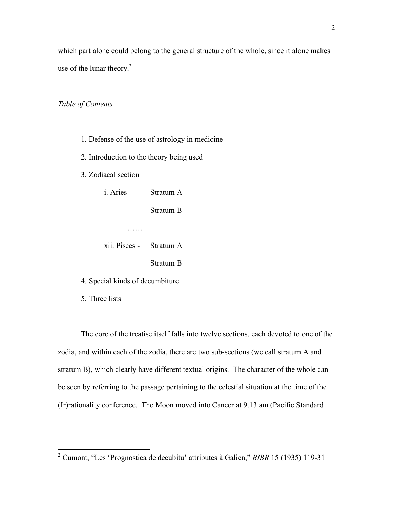which part alone could belong to the general structure of the whole, since it alone makes use of the lunar theory. $2$ 

## *Table of Contents*

- 1. Defense of the use of astrology in medicine
- 2. Introduction to the theory being used
- 3. Zodiacal section

| i. Aries - | Stratum A |
|------------|-----------|
|            | Stratum B |
|            |           |

| xii. Pisces - | Stratum A |
|---------------|-----------|
|               | Stratum B |

- 4. Special kinds of decumbiture
- 5. Three lists

The core of the treatise itself falls into twelve sections, each devoted to one of the zodia, and within each of the zodia, there are two sub-sections (we call stratum A and stratum B), which clearly have different textual origins. The character of the whole can be seen by referring to the passage pertaining to the celestial situation at the time of the (Ir)rationality conference. The Moon moved into Cancer at 9.13 am (Pacific Standard

 <sup>2</sup> Cumont, "Les 'Prognostica de decubitu' attributes <sup>à</sup> Galien," *BIBR* 15 (1935) 119-31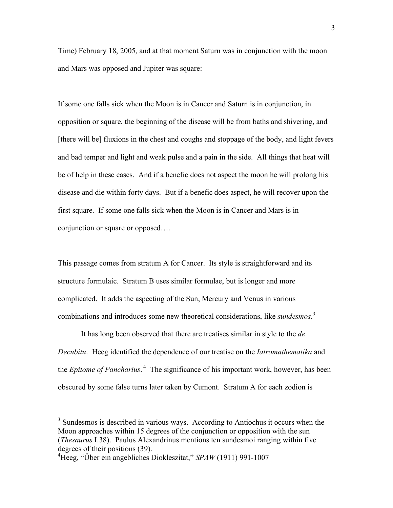Time) February 18, 2005, and at that moment Saturn was in conjunction with the moon and Mars was opposed and Jupiter was square:

If some one falls sick when the Moon is in Cancer and Saturn is in conjunction, in opposition or square, the beginning of the disease will be from baths and shivering, and [there will be] fluxions in the chest and coughs and stoppage of the body, and light fevers and bad temper and light and weak pulse and a pain in the side. All things that heat will be of help in these cases. And if a benefic does not aspect the moon he will prolong his disease and die within forty days. But if a benefic does aspect, he will recover upon the first square. If some one falls sick when the Moon is in Cancer and Mars is in conjunction or square or opposed….

This passage comes from stratum A for Cancer. Its style is straightforward and its structure formulaic. Stratum B uses similar formulae, but is longer and more complicated. It adds the aspecting of the Sun, Mercury and Venus in various combinations and introduces some new theoretical considerations, like *sundesmos*. 3

It has long been observed that there are treatises similar in style to the *de Decubitu*. Heeg identified the dependence of our treatise on the *Iatromathematika* and the *Epitome of Pancharius*. <sup>4</sup> The significance of his important work, however, has been obscured by some false turns later taken by Cumont. Stratum A for each zodion is

<sup>&</sup>lt;sup>3</sup> Sundesmos is described in various ways. According to Antiochus it occurs when the Moon approaches within 15 degrees of the conjunction or opposition with the sun (*Thesaurus* I.38). Paulus Alexandrinus mentions ten sundesmoi ranging within five degrees of their positions (39).

Heeg, "Über ein angebliches Diokleszitat," *SPAW* (1911) 991-1007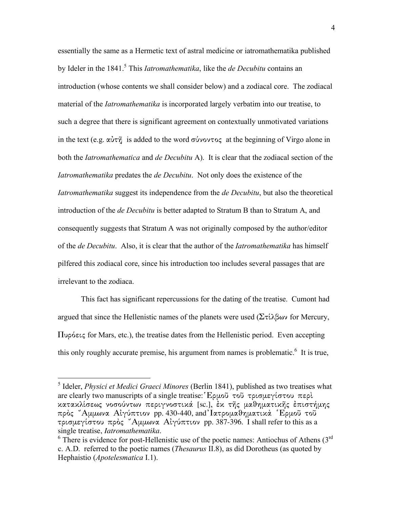essentially the same as a Hermetic text of astral medicine or iatromathematika published by Ideler in the 1841.<sup>5</sup> This *Iatromathematika*, like the *de Decubitu* contains an introduction (whose contents we shall consider below) and a zodiacal core. The zodiacal material of the *Iatromathematika* is incorporated largely verbatim into our treatise, to such a degree that there is significant agreement on contextually unmotivated variations in the text (e.g.  $\alpha\dot{\beta}\tau\ddot{\gamma}$  is added to the word  $\sigma\dot{\beta}\dot{\gamma}$  at the beginning of Virgo alone in both the *Iatromathematica* and *de Decubitu* A). It is clear that the zodiacal section of the *Iatromathematika* predates the *de Decubitu*. Not only does the existence of the *Iatromathematika* suggest its independence from the *de Decubitu*, but also the theoretical introduction of the *de Decubitu* is better adapted to Stratum B than to Stratum A, and consequently suggests that Stratum A was not originally composed by the author/editor of the *de Decubitu*. Also, it is clear that the author of the *Iatromathematika* has himself pilfered this zodiacal core, since his introduction too includes several passages that are irrelevant to the zodiaca.

This fact has significant repercussions for the dating of the treatise. Cumont had argued that since the Hellenistic names of the planets were used  $(\Sigma \tau \lambda \beta \omega \nu)$  for Mercury,  $\Pi$ upó $\epsilon$ <sub>i</sub> for Mars, etc.), the treatise dates from the Hellenistic period. Even accepting this only roughly accurate premise, his argument from names is problematic.<sup>6</sup> It is true,

 <sup>5</sup> Ideler, *Physici et Medici Graeci Minores* (Berlin 1841), published as two treatises what are clearly two manuscripts of a single treatise: JErmou` tou` trismegivstou peri; κατακλίσεως νοσούντων περιγνοστικά [sc.], ἐκ τῆς μαθηματικῆς ἐπιστήμης  $\pi \rho \dot{\rho}$ ς 'Αμμωνα Αίγύπτιον pp. 430-440, and Ιατρομαθηματικά 'Ερμοῦ τοῦ τρισμεγίστου πρός 'Αμμωνα Αίγύπτιον pp. 387-396. I shall refer to this as a single treatise, *Iatromathematika*.<br><sup>6</sup> There is evidence for post-Hellenistic use of the poetic names: Antiochus of Athens (3<sup>rd</sup>)

c. A.D. referred to the poetic names (*Thesaurus* II.8), as did Dorotheus (as quoted by Hephaistio (*Apotelesmatica* I.1).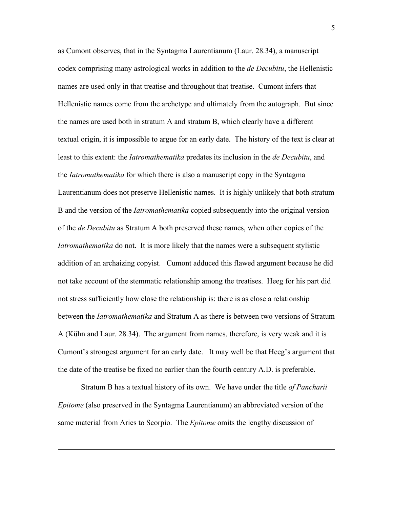as Cumont observes, that in the Syntagma Laurentianum (Laur. 28.34), a manuscript codex comprising many astrological works in addition to the *de Decubitu*, the Hellenistic names are used only in that treatise and throughout that treatise. Cumont infers that Hellenistic names come from the archetype and ultimately from the autograph. But since the names are used both in stratum A and stratum B, which clearly have a different textual origin, it is impossible to argue for an early date. The history of the text is clear at least to this extent: the *Iatromathematika* predates its inclusion in the *de Decubitu*, and the *Iatromathematika* for which there is also a manuscript copy in the Syntagma Laurentianum does not preserve Hellenistic names. It is highly unlikely that both stratum B and the version of the *Iatromathematika* copied subsequently into the original version of the *de Decubitu* as Stratum A both preserved these names, when other copies of the *Iatromathematika* do not. It is more likely that the names were a subsequent stylistic addition of an archaizing copyist. Cumont adduced this flawed argument because he did not take account of the stemmatic relationship among the treatises. Heeg for his part did not stress sufficiently how close the relationship is: there is as close a relationship between the *Iatromathematika* and Stratum A as there is between two versions of Stratum A (Kühn and Laur. 28.34). The argument from names, therefore, is very weak and it is Cumont's strongest argument for an early date. It may well be that Heeg's argument that the date of the treatise be fixed no earlier than the fourth century A.D. is preferable.

Stratum B has a textual history of its own. We have under the title *of Pancharii Epitome* (also preserved in the Syntagma Laurentianum) an abbreviated version of the same material from Aries to Scorpio. The *Epitome* omits the lengthy discussion of

1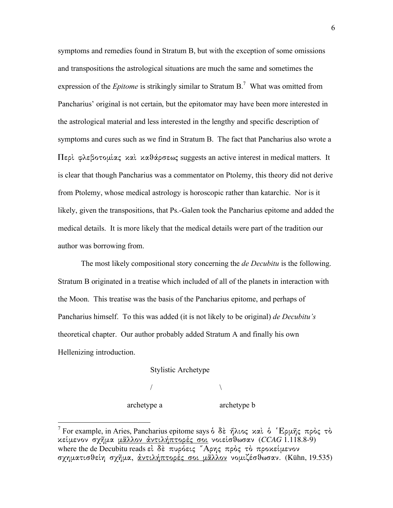symptoms and remedies found in Stratum B, but with the exception of some omissions and transpositions the astrological situations are much the same and sometimes the expression of the *Epitome* is strikingly similar to Stratum B. <sup>7</sup> What was omitted from Pancharius' original is not certain, but the epitomator may have been more interested in the astrological material and less interested in the lengthy and specific description of symptoms and cures such as we find in Stratum B. The fact that Pancharius also wrote a  $\Pi$ ερί φλεβοτομίας και καθάρσεως suggests an active interest in medical matters. It is clear that though Pancharius was a commentator on Ptolemy, this theory did not derive from Ptolemy, whose medical astrology is horoscopic rather than katarchic. Nor is it likely, given the transpositions, that Ps.-Galen took the Pancharius epitome and added the medical details. It is more likely that the medical details were part of the tradition our author was borrowing from.

The most likely compositional story concerning the *de Decubitu* is the following. Stratum B originated in a treatise which included of all of the planets in interaction with the Moon. This treatise was the basis of the Pancharius epitome, and perhaps of Pancharius himself. To this was added (it is not likely to be original) *de Decubitu's* theoretical chapter. Our author probably added Stratum A and finally his own Hellenizing introduction.

## Stylistic Archetype

/  $\sqrt{ }$ 

archetype a archetype b

<sup>&</sup>lt;sup>7</sup> For example, in Aries, Pancharius epitome says δ δε ήλιος και δ Έρμης προς το κείμενον σχῆμα <u>μᾶλλον ἀντιλήπτορές σοι</u> νοιείσθωσαν (*CCAG* 1.118.8-9) where the de Decubitu reads  $\epsilon i \delta \epsilon$   $\pi \nu \rho \acute{o} \epsilon \nu \varsigma$   $\pi \rho \rho \gamma \varsigma$   $\pi \rho \grave{o} \varsigma$   $\tau \grave{o}$   $\pi \rho \upsilon \kappa \epsilon \mu \epsilon \nu \omicron \nu$ σχηματισθείη σχήμα, <u>άντιλήπτορές σοι μάλλον</u> νομιζέσθωσαν. (Kühn, 19.535)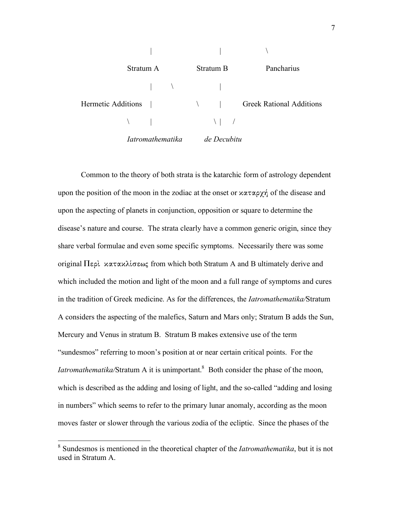

Common to the theory of both strata is the katarchic form of astrology dependent upon the position of the moon in the zodiac at the onset or  $x \alpha \alpha \gamma \gamma$  of the disease and upon the aspecting of planets in conjunction, opposition or square to determine the disease's nature and course. The strata clearly have a common generic origin, since they share verbal formulae and even some specific symptoms. Necessarily there was some original  $\Pi$ ερὶ κατακλίσεως from which both Stratum A and B ultimately derive and which included the motion and light of the moon and a full range of symptoms and cures in the tradition of Greek medicine. As for the differences, the *Iatromathematika/*Stratum A considers the aspecting of the malefics, Saturn and Mars only; Stratum B adds the Sun, Mercury and Venus in stratum B. Stratum B makes extensive use of the term "sundesmos" referring to moon's position at or near certain critical points. For the *Iatromathematika/Stratum A it is unimportant.*<sup>8</sup> Both consider the phase of the moon, which is described as the adding and losing of light, and the so-called "adding and losing in numbers" which seems to refer to the primary lunar anomaly, according as the moon moves faster or slower through the various zodia of the ecliptic. Since the phases of the

 <sup>8</sup> Sundesmos is mentioned in the theoretical chapter of the *Iatromathematika*, but it is not used in Stratum A.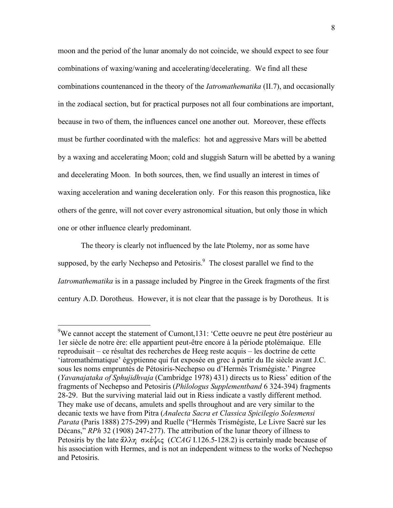moon and the period of the lunar anomaly do not coincide, we should expect to see four combinations of waxing/waning and accelerating/decelerating. We find all these combinations countenanced in the theory of the *Iatromathematika* (II.7), and occasionally in the zodiacal section, but for practical purposes not all four combinations are important, because in two of them, the influences cancel one another out. Moreover, these effects must be further coordinated with the malefics: hot and aggressive Mars will be abetted by a waxing and accelerating Moon; cold and sluggish Saturn will be abetted by a waning and decelerating Moon. In both sources, then, we find usually an interest in times of waxing acceleration and waning deceleration only. For this reason this prognostica, like others of the genre, will not cover every astronomical situation, but only those in which one or other influence clearly predominant.

The theory is clearly not influenced by the late Ptolemy, nor as some have supposed, by the early Nechepso and Petosiris.<sup>9</sup> The closest parallel we find to the *Iatromathematika* is in a passage included by Pingree in the Greek fragments of the first century A.D. Dorotheus. However, it is not clear that the passage is by Dorotheus. It is

We cannot accept the statement of Cumont, 131: 'Cette oeuvre ne peut être postérieur au 1er siècle de notre ère: elle appartient peut-être encore à la période ptolémaique. Elle reproduisait – ce résultat des recherches de Heeg reste acquis – les doctrine de cette 'iatromathématique' égyptienne qui fut exposée en grec à partir du IIe siècle avant J.C. sous les noms empruntés de Pétosiris-Nechepso ou d'Hermès Trismégiste.' Pingree (*Yavanajataka of Sphujidhvaja* (Cambridge 1978) 431) directs us to Riess' edition of the fragments of Nechepso and Petosiris (*Philologus Supplementband* 6 324-394) fragments 28-29. But the surviving material laid out in Riess indicate a vastly different method. They make use of decans, amulets and spells throughout and are very similar to the decanic texts we have from Pitra (*Analecta Sacra et Classica Spicilegio Solesmensi Parata* (Paris 1888) 275-299) and Ruelle ("Hermès Trismégiste, Le Livre Sacré sur les Décans," *RPh* 32 (1908) 247-277). The attribution of the lunar theory of illness to Petosiris by the late  $\ddot{\alpha} \lambda \lambda \eta \, \sigma \kappa \dot{\epsilon} \psi$ *ig* (*CCAG* I.126.5-128.2) is certainly made because of his association with Hermes, and is not an independent witness to the works of Nechepso and Petosiris.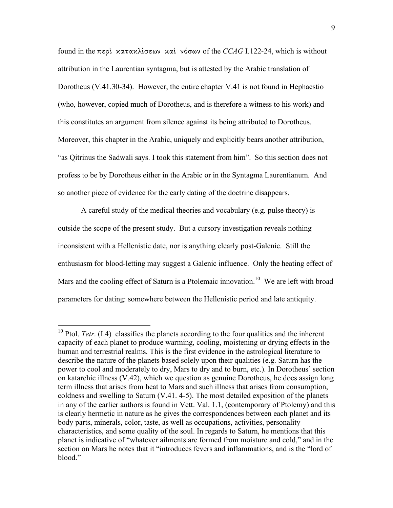found in the  $\pi$ spl *κατακλίσεων και* νόσων of the *CCAG* I.122-24, which is without attribution in the Laurentian syntagma, but is attested by the Arabic translation of Dorotheus (V.41.30-34). However, the entire chapter V.41 is not found in Hephaestio (who, however, copied much of Dorotheus, and is therefore a witness to his work) and this constitutes an argument from silence against its being attributed to Dorotheus. Moreover, this chapter in the Arabic, uniquely and explicitly bears another attribution, "as Qitrinus the Sadwali says. I took this statement from him". So this section does not profess to be by Dorotheus either in the Arabic or in the Syntagma Laurentianum. And so another piece of evidence for the early dating of the doctrine disappears.

A careful study of the medical theories and vocabulary (e.g. pulse theory) is outside the scope of the present study. But a cursory investigation reveals nothing inconsistent with a Hellenistic date, nor is anything clearly post-Galenic. Still the enthusiasm for blood-letting may suggest a Galenic influence. Only the heating effect of Mars and the cooling effect of Saturn is a Ptolemaic innovation.<sup>10</sup> We are left with broad parameters for dating: somewhere between the Hellenistic period and late antiquity.

<sup>&</sup>lt;sup>10</sup> Ptol. *Tetr*. (I.4) classifies the planets according to the four qualities and the inherent capacity of each planet to produce warming, cooling, moistening or drying effects in the human and terrestrial realms. This is the first evidence in the astrological literature to describe the nature of the planets based solely upon their qualities (e.g. Saturn has the power to cool and moderately to dry, Mars to dry and to burn, etc.). In Dorotheus' section on katarchic illness (V.42), which we question as genuine Dorotheus, he does assign long term illness that arises from heat to Mars and such illness that arises from consumption, coldness and swelling to Saturn (V.41. 4-5). The most detailed exposition of the planets in any of the earlier authors is found in Vett. Val. 1.1, (contemporary of Ptolemy) and this is clearly hermetic in nature as he gives the correspondences between each planet and its body parts, minerals, color, taste, as well as occupations, activities, personality characteristics, and some quality of the soul. In regards to Saturn, he mentions that this planet is indicative of "whatever ailments are formed from moisture and cold," and in the section on Mars he notes that it "introduces fevers and inflammations, and is the "lord of blood."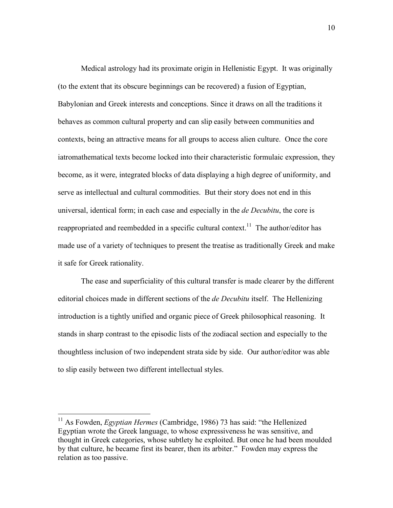Medical astrology had its proximate origin in Hellenistic Egypt. It was originally (to the extent that its obscure beginnings can be recovered) a fusion of Egyptian, Babylonian and Greek interests and conceptions. Since it draws on all the traditions it behaves as common cultural property and can slip easily between communities and contexts, being an attractive means for all groups to access alien culture. Once the core iatromathematical texts become locked into their characteristic formulaic expression, they become, as it were, integrated blocks of data displaying a high degree of uniformity, and serve as intellectual and cultural commodities. But their story does not end in this universal, identical form; in each case and especially in the *de Decubitu*, the core is reappropriated and reembedded in a specific cultural context.<sup>11</sup> The author/editor has made use of a variety of techniques to present the treatise as traditionally Greek and make it safe for Greek rationality.

The ease and superficiality of this cultural transfer is made clearer by the different editorial choices made in different sections of the *de Decubitu* itself. The Hellenizing introduction is a tightly unified and organic piece of Greek philosophical reasoning. It stands in sharp contrast to the episodic lists of the zodiacal section and especially to the thoughtless inclusion of two independent strata side by side. Our author/editor was able to slip easily between two different intellectual styles.

<sup>&</sup>lt;sup>11</sup> As Fowden, *Egyptian Hermes* (Cambridge, 1986) 73 has said: "the Hellenized Egyptian wrote the Greek language, to whose expressiveness he was sensitive, and thought in Greek categories, whose subtlety he exploited. But once he had been moulded by that culture, he became first its bearer, then its arbiter." Fowden may express the relation as too passive.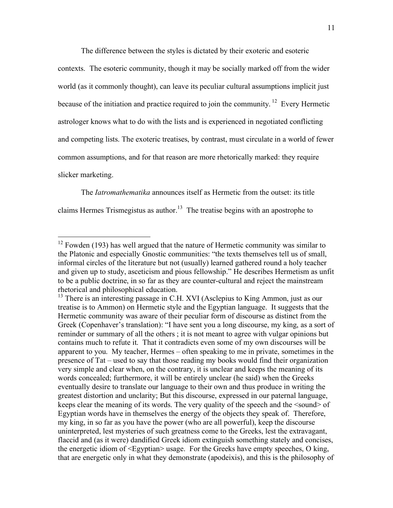The difference between the styles is dictated by their exoteric and esoteric

contexts. The esoteric community, though it may be socially marked off from the wider world (as it commonly thought), can leave its peculiar cultural assumptions implicit just because of the initiation and practice required to join the community.<sup>12</sup> Every Hermetic astrologer knows what to do with the lists and is experienced in negotiated conflicting and competing lists. The exoteric treatises, by contrast, must circulate in a world of fewer common assumptions, and for that reason are more rhetorically marked: they require slicker marketing.

The *Iatromathematika* announces itself as Hermetic from the outset: its title claims Hermes Trismegistus as author.<sup>13</sup> The treatise begins with an apostrophe to

 $12$  Fowden (193) has well argued that the nature of Hermetic community was similar to the Platonic and especially Gnostic communities: "the texts themselves tell us of small, informal circles of the literature but not (usually) learned gathered round a holy teacher and given up to study, asceticism and pious fellowship." He describes Hermetism as unfit to be a public doctrine, in so far as they are counter-cultural and reject the mainstream rhetorical and philosophical education.

<sup>&</sup>lt;sup>13</sup> There is an interesting passage in C.H. XVI (Asclepius to King Ammon, just as our treatise is to Ammon) on Hermetic style and the Egyptian language. It suggests that the Hermetic community was aware of their peculiar form of discourse as distinct from the Greek (Copenhaver's translation): "I have sent you a long discourse, my king, as a sort of reminder or summary of all the others ; it is not meant to agree with vulgar opinions but contains much to refute it. That it contradicts even some of my own discourses will be apparent to you. My teacher, Hermes – often speaking to me in private, sometimes in the presence of Tat – used to say that those reading my books would find their organization very simple and clear when, on the contrary, it is unclear and keeps the meaning of its words concealed; furthermore, it will be entirely unclear (he said) when the Greeks eventually desire to translate our language to their own and thus produce in writing the greatest distortion and unclarity; But this discourse, expressed in our paternal language, keeps clear the meaning of its words. The very quality of the speech and the <sound> of Egyptian words have in themselves the energy of the objects they speak of. Therefore, my king, in so far as you have the power (who are all powerful), keep the discourse uninterpreted, lest mysteries of such greatness come to the Greeks, lest the extravagant, flaccid and (as it were) dandified Greek idiom extinguish something stately and concises, the energetic idiom of <Egyptian> usage. For the Greeks have empty speeches, O king, that are energetic only in what they demonstrate (apodeixis), and this is the philosophy of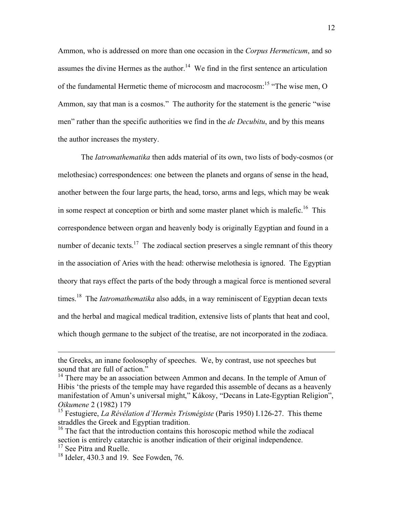Ammon, who is addressed on more than one occasion in the *Corpus Hermeticum*, and so assumes the divine Hermes as the author.<sup>14</sup> We find in the first sentence an articulation of the fundamental Hermetic theme of microcosm and macrocosm:<sup>15</sup> "The wise men, O Ammon, say that man is a cosmos." The authority for the statement is the generic "wise men" rather than the specific authorities we find in the *de Decubitu*, and by this means the author increases the mystery.

The *Iatromathematika* then adds material of its own, two lists of body-cosmos (or melothesiac) correspondences: one between the planets and organs of sense in the head, another between the four large parts, the head, torso, arms and legs, which may be weak in some respect at conception or birth and some master planet which is malefic.<sup>16</sup> This correspondence between organ and heavenly body is originally Egyptian and found in a number of decanic texts.<sup>17</sup> The zodiacal section preserves a single remnant of this theory in the association of Aries with the head: otherwise melothesia is ignored. The Egyptian theory that rays effect the parts of the body through a magical force is mentioned several times. <sup>18</sup> The *Iatromathematika* also adds, in a way reminiscent of Egyptian decan texts and the herbal and magical medical tradition, extensive lists of plants that heat and cool, which though germane to the subject of the treatise, are not incorporated in the zodiaca.

<u>.</u>

the Greeks, an inane foolosophy of speeches. We, by contrast, use not speeches but sound that are full of action."<br><sup>14</sup> There may be an association between Ammon and decans. In the temple of Amun of

Hibis 'the priests of the temple may have regarded this assemble of decans as a heavenly manifestation of Amun's universal might," Kákosy, "Decans in Late-Egyptian Religion", *Oikumene* 2 (1982) 179

<sup>15</sup> Festugiere, *La Révélation d'Hermès Trismégiste* (Paris 1950) I.126-27. This theme straddles the Greek and Egyptian tradition.

<sup>&</sup>lt;sup>16</sup> The fact that the introduction contains this horoscopic method while the zodiacal section is entirely catarchic is another indication of their original independence.<br><sup>17</sup> See Pitra and Ruelle.<br><sup>18</sup> Ideler, 430.3 and 19. See Fowden, 76.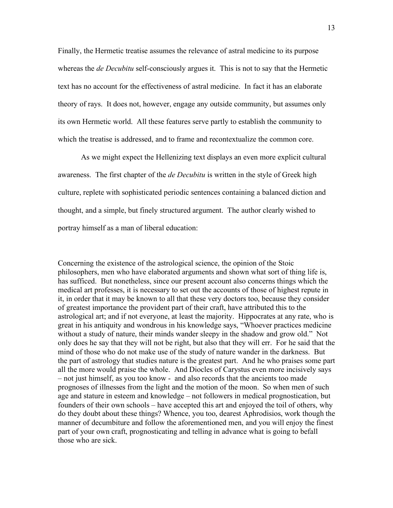Finally, the Hermetic treatise assumes the relevance of astral medicine to its purpose whereas the *de Decubitu* self-consciously argues it. This is not to say that the Hermetic text has no account for the effectiveness of astral medicine. In fact it has an elaborate theory of rays. It does not, however, engage any outside community, but assumes only its own Hermetic world. All these features serve partly to establish the community to which the treatise is addressed, and to frame and recontextualize the common core.

As we might expect the Hellenizing text displays an even more explicit cultural awareness. The first chapter of the *de Decubitu* is written in the style of Greek high culture, replete with sophisticated periodic sentences containing a balanced diction and thought, and a simple, but finely structured argument. The author clearly wished to portray himself as a man of liberal education:

Concerning the existence of the astrological science, the opinion of the Stoic philosophers, men who have elaborated arguments and shown what sort of thing life is, has sufficed. But nonetheless, since our present account also concerns things which the medical art professes, it is necessary to set out the accounts of those of highest repute in it, in order that it may be known to all that these very doctors too, because they consider of greatest importance the provident part of their craft, have attributed this to the astrological art; and if not everyone, at least the majority. Hippocrates at any rate, who is great in his antiquity and wondrous in his knowledge says, "Whoever practices medicine without a study of nature, their minds wander sleepy in the shadow and grow old." Not only does he say that they will not be right, but also that they will err. For he said that the mind of those who do not make use of the study of nature wander in the darkness. But the part of astrology that studies nature is the greatest part. And he who praises some part all the more would praise the whole. And Diocles of Carystus even more incisively says – not just himself, as you too know - and also records that the ancients too made prognoses of illnesses from the light and the motion of the moon. So when men of such age and stature in esteem and knowledge – not followers in medical prognostication, but founders of their own schools – have accepted this art and enjoyed the toil of others, why do they doubt about these things? Whence, you too, dearest Aphrodisios, work though the manner of decumbiture and follow the aforementioned men, and you will enjoy the finest part of your own craft, prognosticating and telling in advance what is going to befall those who are sick.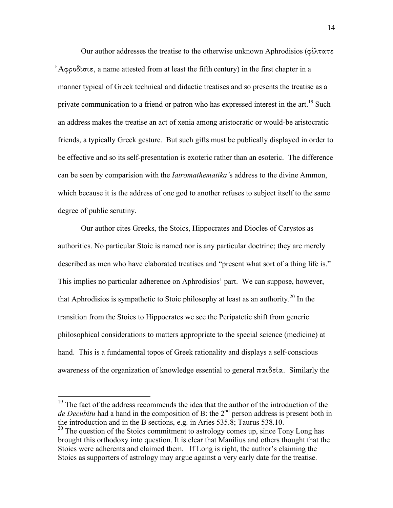Our author addresses the treatise to the otherwise unknown Aphrodisios ( $\varphi \iota \lambda \tau \alpha \tau \varepsilon$ )  $A\varphi\varphi\varphi\delta\zeta\varphi$ , a name attested from at least the fifth century) in the first chapter in a manner typical of Greek technical and didactic treatises and so presents the treatise as a private communication to a friend or patron who has expressed interest in the art.<sup>19</sup> Such an address makes the treatise an act of xenia among aristocratic or would-be aristocratic friends, a typically Greek gesture. But such gifts must be publically displayed in order to be effective and so its self-presentation is exoteric rather than an esoteric. The difference can be seen by comparision with the *Iatromathematika'*s address to the divine Ammon, which because it is the address of one god to another refuses to subject itself to the same degree of public scrutiny.

Our author cites Greeks, the Stoics, Hippocrates and Diocles of Carystos as authorities. No particular Stoic is named nor is any particular doctrine; they are merely described as men who have elaborated treatises and "present what sort of a thing life is." This implies no particular adherence on Aphrodisios' part. We can suppose, however, that Aphrodisios is sympathetic to Stoic philosophy at least as an authority.<sup>20</sup> In the transition from the Stoics to Hippocrates we see the Peripatetic shift from generic philosophical considerations to matters appropriate to the special science (medicine) at hand. This is a fundamental topos of Greek rationality and displays a self-conscious awareness of the organization of knowledge essential to general  $\pi \alpha \iota \delta \varepsilon \iota \alpha$ . Similarly the

<sup>&</sup>lt;sup>19</sup> The fact of the address recommends the idea that the author of the introduction of the *de Decubitu* had a hand in the composition of B: the  $2<sup>nd</sup>$  person address is present both in the introduction and in the B sections, e.g. in Aries 535.8; Taurus 538.10.

<sup>&</sup>lt;sup>20</sup> The question of the Stoics commitment to astrology comes up, since Tony Long has brought this orthodoxy into question. It is clear that Manilius and others thought that the Stoics were adherents and claimed them. If Long is right, the author's claiming the Stoics as supporters of astrology may argue against a very early date for the treatise.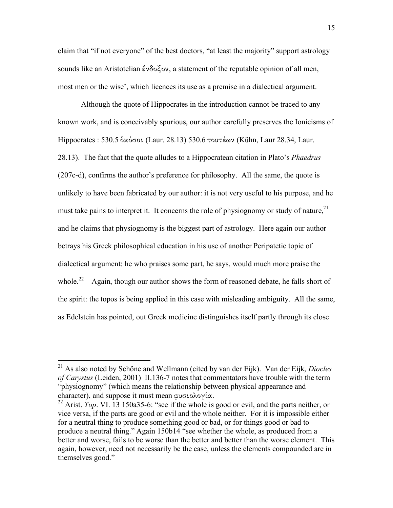claim that "if not everyone" of the best doctors, "at least the majority" support astrology sounds like an Aristotelian  $\zeta \vee \delta_0 \zeta_0$ , a statement of the reputable opinion of all men, most men or the wise', which licences its use as a premise in a dialectical argument.

Although the quote of Hippocrates in the introduction cannot be traced to any known work, and is conceivably spurious, our author carefully preserves the Ionicisms of Hippocrates : 530.5 δκόσοι (Laur. 28.13) 530.6 τουτέων (Kühn, Laur 28.34, Laur. 28.13). The fact that the quote alludes to a Hippocratean citation in Plato's *Phaedrus* (207c-d), confirms the author's preference for philosophy. All the same, the quote is unlikely to have been fabricated by our author: it is not very useful to his purpose, and he must take pains to interpret it. It concerns the role of physiognomy or study of nature,  $21$ and he claims that physiognomy is the biggest part of astrology. Here again our author betrays his Greek philosophical education in his use of another Peripatetic topic of dialectical argument: he who praises some part, he says, would much more praise the whole.<sup>22</sup> Again, though our author shows the form of reasoned debate, he falls short of the spirit: the topos is being applied in this case with misleading ambiguity. All the same, as Edelstein has pointed, out Greek medicine distinguishes itself partly through its close

 <sup>21</sup> As also noted by Schöne and Wellmann (cited by van der Eijk). Van der Eijk, *Diocles of Carystus* (Leiden, 2001) II.136-7 notes that commentators have trouble with the term "physiognomy" (which means the relationship between physical appearance and character), and suppose it must mean φυσιολογία.<br><sup>22</sup> Arist. *Top*. VI. 13 150a35-6: "see if the whole is good or evil, and the parts neither, or

vice versa, if the parts are good or evil and the whole neither. For it is impossible either for a neutral thing to produce something good or bad, or for things good or bad to produce a neutral thing." Again 150b14 "see whether the whole, as produced from a better and worse, fails to be worse than the better and better than the worse element. This again, however, need not necessarily be the case, unless the elements compounded are in themselves good."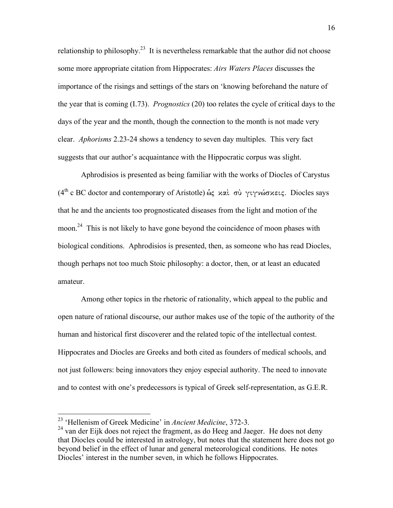relationship to philosophy.<sup>23</sup> It is nevertheless remarkable that the author did not choose some more appropriate citation from Hippocrates: *Airs Waters Places* discusses the importance of the risings and settings of the stars on 'knowing beforehand the nature of the year that is coming (I.73). *Prognostics* (20) too relates the cycle of critical days to the days of the year and the month, though the connection to the month is not made very clear. *Aphorisms* 2.23-24 shows a tendency to seven day multiples. This very fact suggests that our author's acquaintance with the Hippocratic corpus was slight.

Aphrodisios is presented as being familiar with the works of Diocles of Carystus (4<sup>th</sup> c BC doctor and contemporary of Aristotle) ώς και σύ γιγνώσκεις. Diocles says that he and the ancients too prognosticated diseases from the light and motion of the moon.<sup>24</sup> This is not likely to have gone beyond the coincidence of moon phases with biological conditions. Aphrodisios is presented, then, as someone who has read Diocles, though perhaps not too much Stoic philosophy: a doctor, then, or at least an educated amateur.

Among other topics in the rhetoric of rationality, which appeal to the public and open nature of rational discourse, our author makes use of the topic of the authority of the human and historical first discoverer and the related topic of the intellectual contest. Hippocrates and Diocles are Greeks and both cited as founders of medical schools, and not just followers: being innovators they enjoy especial authority. The need to innovate and to contest with one's predecessors is typical of Greek self-representation, as G.E.R.

<sup>&</sup>lt;sup>23</sup> 'Hellenism of Greek Medicine' in *Ancient Medicine*, 372-3.

 $^{24}$  van der Eijk does not reject the fragment, as do Heeg and Jaeger. He does not deny that Diocles could be interested in astrology, but notes that the statement here does not go beyond belief in the effect of lunar and general meteorological conditions. He notes Diocles' interest in the number seven, in which he follows Hippocrates.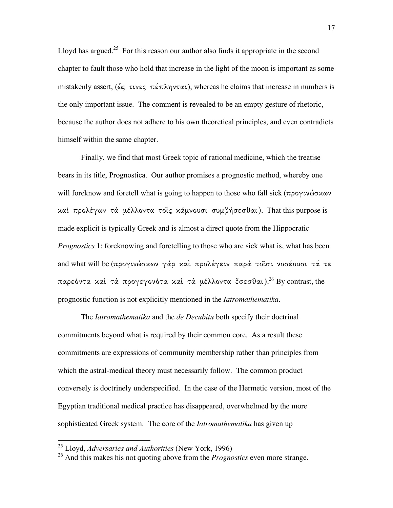Lloyd has argued.<sup>25</sup> For this reason our author also finds it appropriate in the second chapter to fault those who hold that increase in the light of the moon is important as some mistakenly assert, ( $\hat{\omega}$  $\zeta$   $\tau \omega \epsilon \zeta$   $\pi \epsilon \pi \lambda \eta \nu \tau \alpha \iota$ ), whereas he claims that increase in numbers is the only important issue. The comment is revealed to be an empty gesture of rhetoric, because the author does not adhere to his own theoretical principles, and even contradicts himself within the same chapter.

Finally, we find that most Greek topic of rational medicine, which the treatise bears in its title, Prognostica. Our author promises a prognostic method, whereby one will foreknow and foretell what is going to happen to those who fall sick ( $\pi \rho \sigma \gamma \nu \omega \sigma \nu \omega \nu$ καί προλέγων τα μέλλοντα τοις κάμνουσι συμβήσεσθαι). That this purpose is made explicit is typically Greek and is almost a direct quote from the Hippocratic *Prognostics* 1: foreknowing and foretelling to those who are sick what is, what has been and what will be (προγινώσκων γάρ καί προλέγειν παρά τοΐσι νοσέουσι τά τε παρεόντα καὶ τὰ προγεγονότα καὶ τὰ μέλλοντα ἔσεσθαι). $^{26}$  By contrast, the prognostic function is not explicitly mentioned in the *Iatromathematika*.

The *Iatromathematika* and the *de Decubitu* both specify their doctrinal commitments beyond what is required by their common core. As a result these commitments are expressions of community membership rather than principles from which the astral-medical theory must necessarily follow. The common product conversely is doctrinely underspecified. In the case of the Hermetic version, most of the Egyptian traditional medical practice has disappeared, overwhelmed by the more sophisticated Greek system. The core of the *Iatromathematika* has given up

 <sup>25</sup> Lloyd, *Adversaries and Authorities* (New York, 1996)

<sup>26</sup> And this makes his not quoting above from the *Prognostics* even more strange.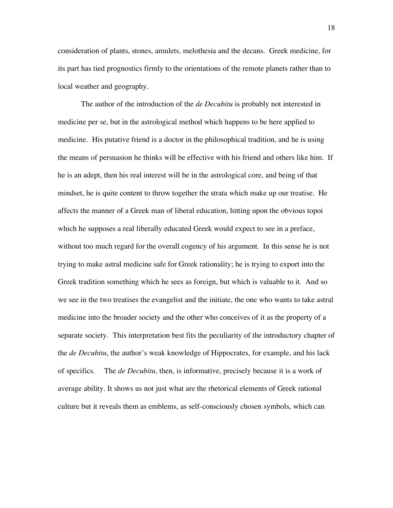consideration of plants, stones, amulets, melothesia and the decans. Greek medicine, for its part has tied prognostics firmly to the orientations of the remote planets rather than to local weather and geography.

The author of the introduction of the *de Decubitu* is probably not interested in medicine per se, but in the astrological method which happens to be here applied to medicine. His putative friend is a doctor in the philosophical tradition, and he is using the means of persuasion he thinks will be effective with his friend and others like him. If he is an adept, then his real interest will be in the astrological core, and being of that mindset, he is quite content to throw together the strata which make up our treatise. He affects the manner of a Greek man of liberal education, hitting upon the obvious topoi which he supposes a real liberally educated Greek would expect to see in a preface, without too much regard for the overall cogency of his argument. In this sense he is not trying to make astral medicine safe for Greek rationality; he is trying to export into the Greek tradition something which he sees as foreign, but which is valuable to it. And so we see in the two treatises the evangelist and the initiate, the one who wants to take astral medicine into the broader society and the other who conceives of it as the property of a separate society. This interpretation best fits the peculiarity of the introductory chapter of the *de Decubitu*, the author's weak knowledge of Hippocrates, for example, and his lack of specifics. The *de Decubitu*, then, is informative, precisely because it is a work of average ability. It shows us not just what are the rhetorical elements of Greek rational culture but it reveals them as emblems, as self-consciously chosen symbols, which can